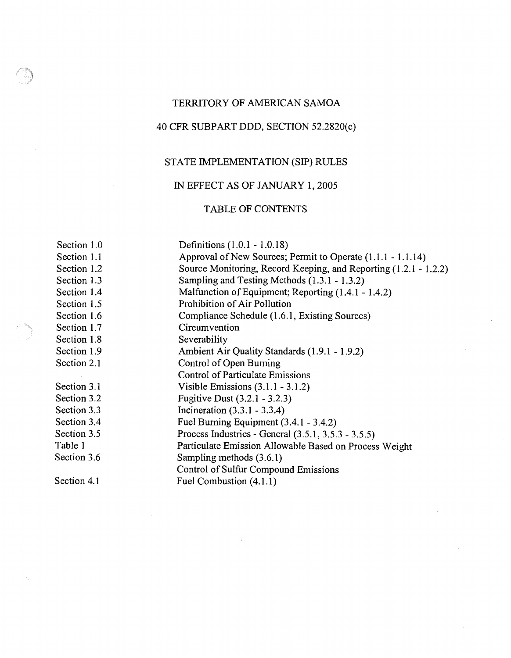# TERRITORY OF AMERICAN SAMOA

# 40 CFR SUBPART DDD, SECTION 52.2820(c)

# STATE IMPLEMENTATION (SIP) RULES

# IN EFFECT AS OF JANUARY 1,2005

## TABLE OF CONTENTS

Section 1.0 Section 1.1 Section 1.2 Section 1.3 Section 1.4 Section 1.5 Section 1.6 Section 1.7 Section 1.8 Section 1.9 Section 2.1 Section 3.1 Section 3.2 Section 3.3 Section 3.4 Section 3.5 Table 1 Section 3.6 Section 4.1 Definitions (1 .O. 1 - 1 .O. 18) Approval of New Sources; Permit to Operate (1.1.1 - 1.1.14) Source Monitoring, Record Keeping, and Reporting (1.2.1 - 1.2.2) Sampling and Testing Methods (1.3.1 - 1.3.2) Malfunction of Equipment; Reporting (1.4.1 - 1.4.2) Prohibition of Air Pollution Compliance Schedule (1.6.1, Existing Sources) **Circumvention** Severability Ambient Air Quality Standards (1.9.1 - 1.9.2) Control of Open Burning Control of Particulate Emissions Visible Emissions (3.1.1 - 3.1.2) Fugitive Dust (3.2.1 - 3.2.3) Incineration (3.3.1 - 3.3.4) Fuel Burning Equipment (3.4.1 - 3.4.2) Process Industries - General (3.5.1, 3.5.3 - 3.5.5) Particulate Emission Allowable Based on Process Weight Sampling methods (3.6.1) Control of Sulfur Compound Emissions Fuel Combustion (4.1.1)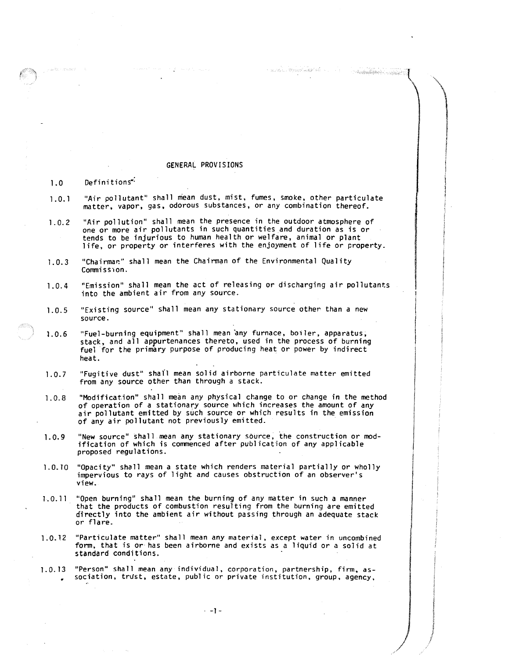### GENERAL PROVISIONS

### Definitions<sup>\*</sup>  $1.0$

"Air pollutant" shall mean dust, mist, fumes, smoke, other particulate  $1.0.1$ matter. vapor, gas, odorous substances, or any combination thereof.

 $\gamma$  -equivalence  $\mathcal{W}_\text{F}$  and location for  $\gamma$  .

- Antonikelijke e se izvinje z

- "Air pollution" shall mean the Presence in the outdoor atmosphere of  $1.0.2$ one or more air pollutants in such quantities and duration as is or tends to be injurious to human health or welfare, animal or plant life, or property or interferes with the enjoyment of life or property.
- "Chairman" shall mean the Chairman of the Environmental Quality  $1.0.3$ Commission.
- "Emission" shall mean the act of releasing or discharging air pollutants  $1.0.4$ into the ambient air from any source.
- "Existing source" shall mean any stationary source other than a new  $1.0.5$ source.
- "Fuel-burning equipment" shall mean any furnace, boiler, apparatus,  $1.0.6$ stack, and all appurtenances thereto, used in the process of burning fuel for the primary purpose of producing heat or power by indirect heat.
- "Fugitive dust" shail mean solid airborne particulate matter emitted  $1.0.7$ from any source other than through a stack.
- $1.0.8$ "Modification" shall mean any physical change to or change in the method of operation of a stationary source which increases the amount of any air pollutant emitted by such source or which results in the emission of any air pollutant not previously emitted.
- "New source" shall mean any stationary source, the construction or mod- $1.0.9$ ification of which is commenced after publication of any applicable proposed regulations.
- "Opacity" shall mean a state which renders material partially or wholly  $1.0.10$ impervious to rays of light and causes obstruction of an observer's view.
- "Open burning" shall mean the burning of any matter in such a manner  $1.0.11$ that the products of combustion resulting from the burning are emitted directly into the ambient air without passing through an adequate stack or flare.
- "Particulate matter" shall mean any material, except water in uncombined  $1.0.12$ form, that is or has been airborne and exists as a liquid or a solid at standard conditions.
- "Person" shall mean any individual, corporation, partnership, firm. as- $1.0.13$ sociation, trust, estate, pub1 ic or private institution, group, agency,

 $-1$  -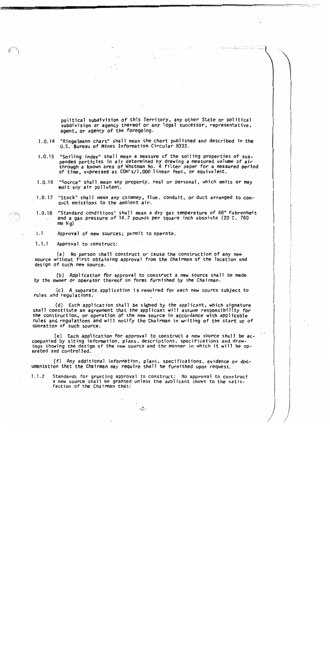political subdivision of this Territory, any other State or political subdivision or agency thereof or any legal successor, representative. agent, or agency of the foregoing.

- "Ringelmann chart" shall mean the chart published and described in the  $1.0.14$ U.S. Bureau of Mines Information Circular 8333.
- "Soiling index" shall mean a measure of the soiling properties of sus- $1.0.15$ pended particles in air determined by drawing a measured volume of air through a known area of Whatman No. 4 filter paper for a measured period of time, expressed as COH's/1,000 linear feet, or equivalent.
- "Source" shall mean any property, real or personal, which emits or may  $1.0.16$ emit any air pollutant.
- $1.0.17$ "Stack" shall mean any chimney, flue, conduit, or duct arranged to conduct emissions to the ambient air.
- 1.0.18 "Standard conditions" shall mean a dry gas temperature of 68° Fahrenheit and a gas pressure of 14.7 pounds per square inch absolute (20 C, 760  $mn$   $H$ a)
- $1.1$ Approval of new sources; permit to operate.
- $1.1.1$ Approval to construct:

(a) No person shall construct or cause the construction of any new source without first obtaining approval from the Chairman of the location and design of such new source.

(b) Application for approval to construct a new source shall be made by the owner or operator thereof on forms furnished by the Chairman.

(c) A separate application is required for each new source subject to rules and regulations.

(d) Each application shall be signed by the applicant, which signature shall constitute an agreement that the applicant will assume responsibility for the construction, or operation of the new source in accordance with applicable rules and regulations and will notify the Chairman in writing of the start up of operation of such source.

(e) Each application for approval to construct a new source shall be accompanied by siting information, plans, descriptions, specifications and drawings showing the design of the new source and the manner in which it will be operated and controlled.

(f) Any additional information, plans, specifications, evidence or doc-<br>umentation that the Chairman may require shall be furnished upon request.

Standards for granting approval to construct: No approval to construct  $1.1.2$ a new source shall be granted unless the applicant shows to the satisfaction of the Chairman that:

 $-2-$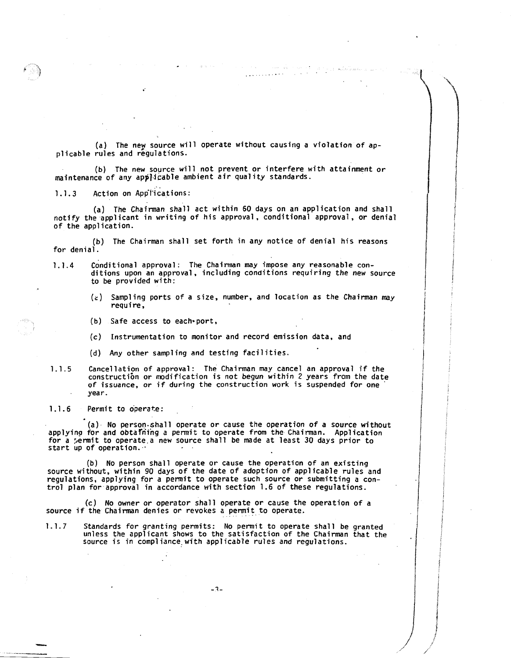(a) The ney source will operate without causing a violation of appl icable rules and regulations.

(b) The new source will not prevent or interfere with attainment or maintenance of any applicable ambient air quality standards.

1.1.3 Action on Applications:

(a) The Chairman shall act within 60 days on an application and shall notify the applicant in writing of his approval. conditional approval, or denial of the application.

(b) The Chairman shall set forth in any notice of denial his reasons for denial.

- 1.1.4 Conditional approval: The Chairman may impose any reasonable conditions upon an approval, including conditions requiring the new source to be provided with:
	- **(2)** Sampl ing ports of a size, number, and location as the Chairman may require,
	- (b) Safe access to eacheport,
	- (c) Instrumentation to monitor and record emission data, and
	- **(d)** Any other sampling and testfng facilities.
- 1.1.5 Cancellation of approval: The Chairman may cancel an approval if the constructibn or modification is not begun within 2 years from the date of issuance, or if during the construction work is suspended for one ' . year.

1.1.6 Permit to operate:

(a). No person.shal1 operate or cause the operation of a source without applying for and obtafriing a permit to operate from the Chairman. Application for a permit to operate a new source shall be made at least 30 days prior to start up of operation. .

(b) No person shall operate or cause the operation of an existing source without, within 90 days of the date of adoption of applicable rules and regulations, applying for a permit to operate such source or submitting a control plan for approval in accordance with section 1.6 of these regulations.

(c) No owner or operator shall operate or cause the operation of a source if the Chairman denies or revokes a permit to operate.

1.1.7 Standards for granting permits: No permit to operate shall be granted unless the applicant shows to the satisfaction of the Chairman that the source is in compliance with applicable rules and regulations.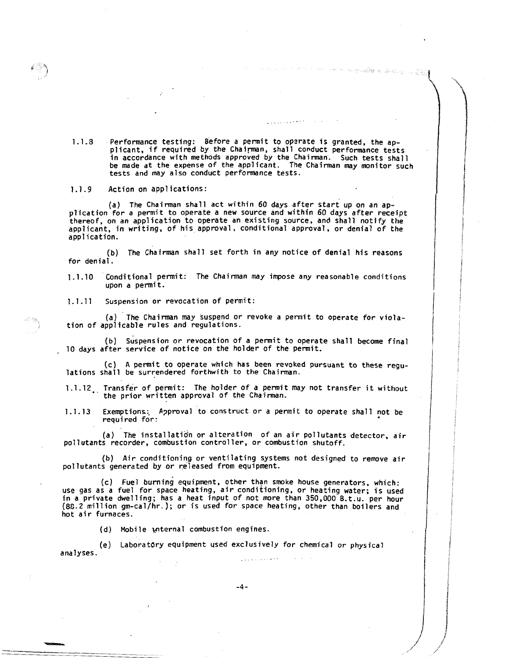1.1. Performance testing: Before a permit to opzrate is granted, the ap-plicant, if required by the Chairman, shall conduct performance tests in accordance with methods approved by the Chairman. Such tests shall be made at the expense of the applicant. The Chairman may monitor such tests and may also conduct performance tests.

1

an Alaysiya (Sanda ng Tang

<sup>I</sup>i

line and the second second second

i f

**International Property** 

1

1 /

I

1.1.9 Action on applications:

(a) The Chairman shall act within 60 days after start up on an application for a permit to operate a new source and within 60 days after receipt thereof, on an application to operate an existing source, and shall notify the applicant, in writing, of his approval, conditional approval, or denial of the application.

(b) The Chairman shall set forth in any notice of denial his reasons for denial.

1.1.10 Conditional permit: The Chairman may impose any reasonable conditions upon a penit.

1.1.11 Suspension or revocation of permit:

(a) The Chairman may suspend or revoke a permit to operate for violation of applicable rules and regulations.

(b) Suspension or revocation of a permit to operate shall become final 10 days after service of notice on the holder of the permit.

(c) A permit to operate which has been revoked pursuant to these regu-lations shall be surrendered forthwith to the Chairman.

1.1.12 Transfer of permit: The holder of a permit may not transfer it without the prior written approval of the Chairman.

1.l.13 Exemptions; Approval to construct or a permit to operate shall not be required for:

(a) The installatidn or alteration of an air pollutants detector, air pollutants recorder, combustion controller, or combustion shutoff.

(b) Air conditioning or ventilating systems not designed to remove air pollutants generated by or released from equipment.

(c) Fuel burning equipment, other than smoke house generators, which: use gas as a fuel for space heating, air conditioning, or heating water; is used in a private dwelling; has a heat input of not more than 350,000 8.t.u. per hour (8G.2 million gm-cal/hr. ); or is used for space heating, other than boilers and hot air furnaces.

(d) Mobile wternal combustion engines.

(e) Laboratory equipment used exclusively for chemical or physica**<sup>1</sup>** analyses.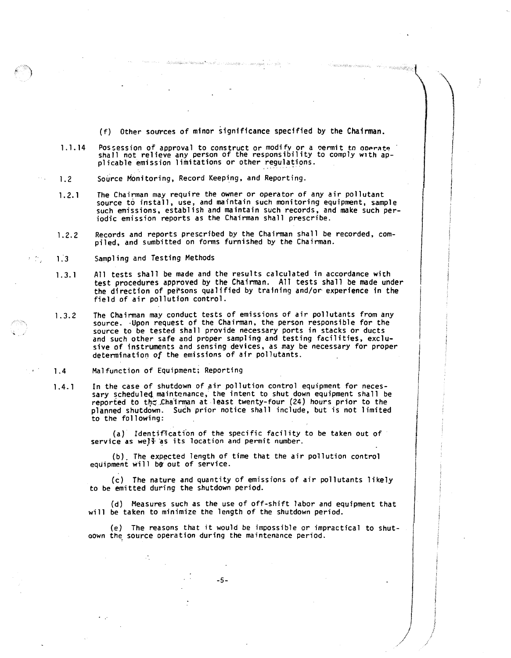$(f)$  Other sources of minor significance specified by the Chairman.

 $\label{eq:main} \mathcal{P}(\mathcal{L}(\mathcal{D},\mathcal{D},\mathcal{D},\mathcal{D},\mathcal{D},\mathcal{D}))$ 

1.14 Possession of approval to construct or modify or a permit to operate.<br>shall not relieve any person of the responsibility to comply with applicable emission limitations or other regulations.

 $\label{eq:2.1} \mathcal{O}(\log\log\log_{10}(\sqrt{\log_{10}}\log_{10})\log_{10}(\sqrt{\log_{10}}\log_{10}(\sqrt{\log_{10}}\log_{10}(\sqrt{\log_{10}}\log_{10}(\sqrt{\log_{10}}\log_{10}(\sqrt{\log_{10}}))))))$ 

- Source Monitoring, Record Keeping, and Reporting.  $1.2$
- The Chairman may require the owner or operator of any air pollutant  $1.2.1$ source to install, use, and maintain such monitoring equipment, sample such emissions, establish and maintain such records, and make such periodic emission reports as the Chairman shall prescribe.
- Records and reports prescribed by the Chairman shall be recorded, com- $1.2.2$ piled, and sumbitted on forms furnished by the Chairman.
- Sampling and Testing Methods  $1.3$

εń,

- $1.3.1$ All tests shall be made and the results calculated in accordance with test procedures approved by the Chairman. **A11** tests shall be made under the direction of persons qualified by training and/or experience in the field of air pollution control.
- The Chairman may conduct tests of emissions of air pollutants from any  $1.3.2$ source. .Upon request of the Chairman. the person responsible for the source to be tested shall provide necessary ports in stacks or ducts and such other safe and proper sampling and testing facilities, exclusive of instruments and sensing devices, as may be necessary for proper determination of the emissions of air pollutants.
- $1.4$ Malfunction of Equipment; Reporting
- In the case of shutdown of air pollution control equipment for neces- $1.4.1$ sary scheduled maintenance, the intent to shut down equipment shall be reported to the Chairman at least twenty-four (24) hours prior to the planned shutdown. Such prior notice shall include, but is not limited to the following:

(a) Identification of the specific facility to be taken out of service as well as its location and permit number.

(b). The expected length of time that the air pollution control equipment will be out of service.

(c) The nature and quantity cf emissions of air pollutants likely to be emitted during the shutdown period.

(d) Measures such as the use of off-shift labor and equipment that will be taken to minimize the length of the shutdown period.

(e) The reasons that it would be impossible or impractical to shutoown the. source operation during the maintenance period.

 $-5-$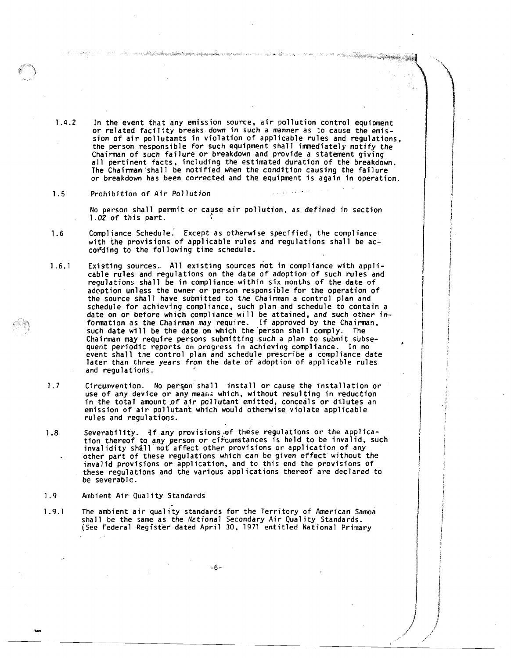1.4.2 In the event that any emission source. air pollution control equipment or related facility breaks down in Such a manner as :o cause the emission of air pollutants in violation of applicable rules and regulations, the person responsible for such equipment shall immediately notify the Chairman of such failure or breakdown and provide a statement giving all pertinent facts. including the estimated duration of the breakdown. The Chairman'shall be notified when the condition causing the failure or breakdown has been corrected and the equipment is again in operation.

a Milletta alla muodella suomalainen muoden muodella ja sekä maanisesta tai ovat oli tai tai tai tai tai tai mu

a da kasa da wasan ƙwallon ƙafa ta ƙasar Tanzani ya Tanzani ya Tanzani ya Tanzani ya Tanzani ya Tanzani ya Tanzani ya Tanzani ya Tanzani ya Tanzani ya Tanzani ya Tanzani ya Tanzani ya Tanzani ya Tanzani ya Tanzani ya Tanza

### $1.5$ Prohibition of Air Pollution

No person shall permit or cavse air pollution, as defined in section 1.02 of this part.

- Compliance Schedule. Except as otherwise specified, the compliance  $1.6$ with the provisions of applicable rules and regulations shall be accor'ding to the following time schedule.
- 1.6.1 Existing sources. All existing sources not in compliance with applicable rules and regulations on the date of adoption of such rules and regulations shall be in compliance within six months of the date of adoption unless the owner or person responsible for the operation of the source shall have submitted to the Chairman a control plan and schedule for achieving compliance, such plan and schedule to contain a date on or before which compliance will be attained, and such other in-<br>formation as the Chairman may require. If approved by the Chairman, such date will be the date on which the person shall comply. The Chairman may require persons submittfng such a plan to submit subsequent periodic reports on progress in achieving compliance. In no event shall the control plan and schedule prescribe a compliance date later than three years from the date of adoption of applicable rules and regulations.
- $1.7$ Circumvention. No person shall install or cause the installation or use of any device or any means which, without resulting in reduction in the total amount of air pollutant emitted, conceals or dilutes an emission of air pollutant which would otherwise violate applicable rules and regulations.
- Severability. If any provisions of these regulations or the applica- $1.8$ tion thereof to any person or circumstances is held to be invalid, such invalidity shall not affect other provisions or application of any other part of these regulations which can be given effect without the invalid provisions or application, and to this end the provisions of these regulations and the various applications thereof are declared to be severable.
- $1.9$ Ambient Air Quality Standards
- The ambient air quality standards for the Territory of American Samoa  $1.9.1$ shall be the same as the National Secondary Air Quality Standards. [See Federal Register dated April 30. 1971 entitled National Primary

 $-6-$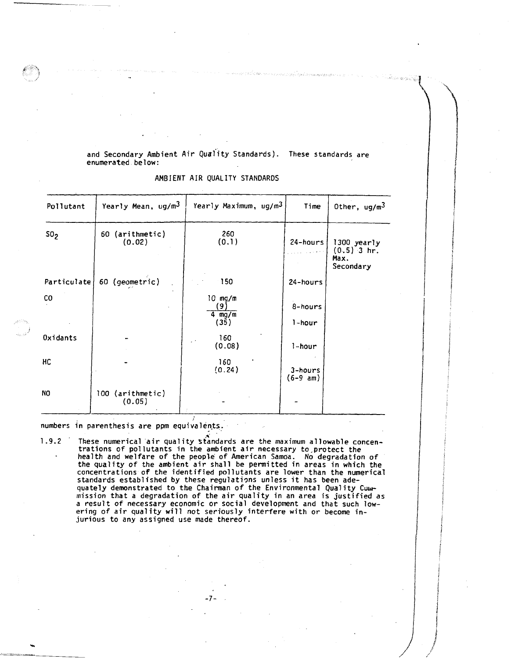and Secondary Ambient Air Quality Standards). These standards are enumerated below:

| Pollutant       | Yearly Mean, ug/m <sup>3</sup> | Yearly Maximum, ug/m <sup>3</sup> | Time                  | Other, $ug/m3$                                    |
|-----------------|--------------------------------|-----------------------------------|-----------------------|---------------------------------------------------|
| SO <sub>2</sub> | 60 (arithmetic)<br>(0.02)      | 260<br>(0.1)                      | 24-hours              | 1300 yearly<br>$(0.5)$ 3 hr.<br>Max.<br>Secondary |
| Particulate     | 60 (geometric)                 | 150                               | 24-hours              |                                                   |
| CO.             |                                | 10 mg/m<br>9)<br>4 $mg/m$<br>(35) | 8-hours<br>1-hour     |                                                   |
| Oxidants        |                                | 160<br>(0.08)                     | 1-hour                |                                                   |
| HC              |                                | 160<br>(0.24)                     | 3-hours<br>$(6-9 am)$ |                                                   |
| NO              | 100 (arithmetic)<br>(0.05)     |                                   |                       |                                                   |

AMBIENT AIR OUALITY STANDARDS

numbers in parenthesis are ppm equivalents.

These numerical air quality standards are the maximum allowable concentrations of pollutants in the ambient air necessary to protect the health and welfare of the people of American Samoa. No degradation of the quality of  $1.9.2$ concentrations of the identified pollutants are lower than the numerical standards established by these regulations unless it has been adequately demonstrated to the Chairman of the Environmental Quality Coun-<br>mission that a degradation of the air quality in an area is justified as<br>a result of necessary economic or social development and that such lowering of air quality will not seriously interfere with or become injurious to any assigned use made thereof.

 $-7-$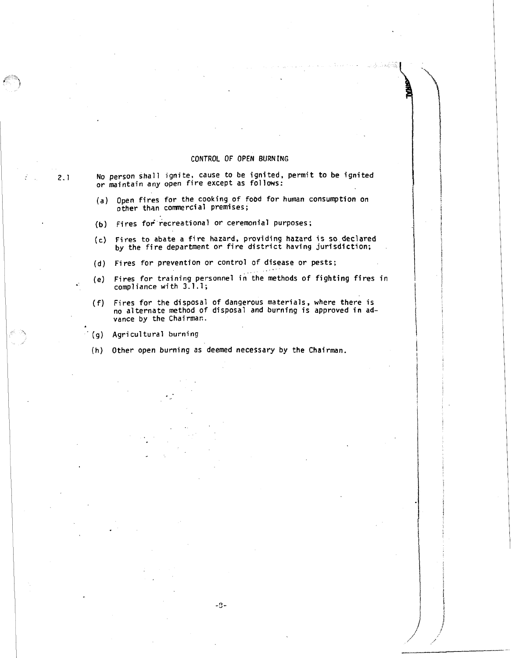### CONTROL OF OPEN BURNING

No person shall ignite, cause to be ignited, permit to be ignited or maintain any open fire except as follows:

- (a) Open fires for the cooking of food for human consumption on  $other$  than commercial premises;
- (b) Fires for recreational or ceremonial purposes;
- (c) Fires to abate a fire hazard, providing hazard is so declared<br>by the fire department or fire district having jurisdiction;
- $(d)$  Fires for prevention or control of disease or pests;
- (e) Fires for training personnel in the methods of fighting fires in<br>compliance with 3.1.1;
- (f) Fires for the disposal of dangerous materials, where there is no alternate method of disposal and burning is approved in advance by the Chairman.

 $(9)$  Agricultural burning

(h) Other open burning as deemed necessary by the Chairman.

 $\mathbf{r}$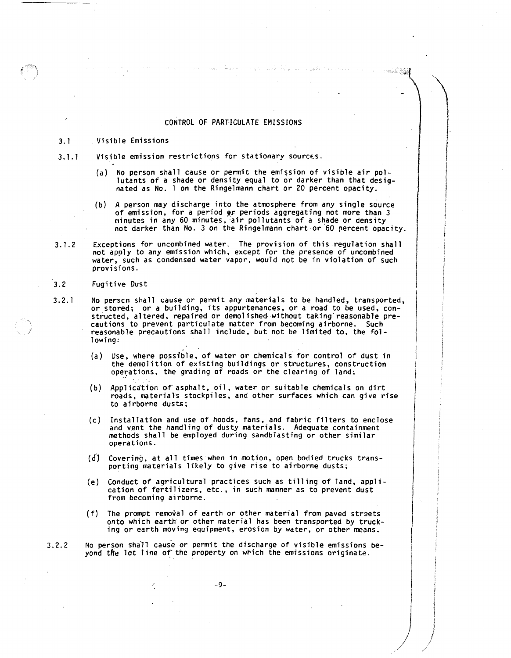### CONTROL OF PARTICULATE EMISSIONS

#### $3.1$ Visible Emissions

- Visible emission restrictions for stationary sources.  $3.1.1$ 
	- (a) No person shall cause or permit the emission of visible air pollutants of a shade or density equal to or darker than that designated as No. 1 on the Ringelmann chart or 20 percent opacity.
	- (b) A person may discharge into the atmosphere from any single source of emission, for a period **gr** periods aggregating not more than 3 minutes in any 60 minutes, air pollutants of a shade or density not darker than No. 3 on the Ringelmann chart or 60 percent opacity.
- Exceptions for uncombined water. The provision of this regulation shall  $3.1.2$ not apply to any emission which, except for the presence of uncombined water, such as condensed water vapor, would not be in violation of such provisions.
- $3.2$ Fugitive Dust
- No perscn shall cause or permit any materials to be handled, transported,  $3.2.1$ or stored; or a building, its appurtenances, or a road to be used, constructed, a1 tered, repaired or demo1 ished. without taking reasonable precautions to prevent particulate matter from becoming airborne. Such reasonable precautions shall include, but not be limited to, the following:
	- Use, where possible, of water or chemicals for control of dust in the demolition of existing buildings or structures, construction operations, the grading of roads or the clearing of land;  $\overline{\phantom{a}}$
	- Application of'asphalt, oil, water or suitable chemicals on dirt roads, materials stockpiles, and other surfaces which can give rise to airborne dusts;
	- Installation and use of hoods. fans. and fabric filters to enclose  $(c)$ and vent the handling of dusty materials. Adequate containment methods shall be employed during sandblasting or other similar operations.
	- (d) Covering, at all times when in motion, open bodied trucks transporting materials likely to give rise to airborne dusts;
	- (e) Conduct of agricultural practices such as tilling of land, application of fertilizers, etc., in such manner as to prevent dust from becoming airborne.
	- $(f)$  The prompt removal of earth or other material from paved streets onto which earth or other material has been transported by trucking or earth moving equipment, erosion by water. or other means.

 $3.2.2$ No perspn shill cause or permit the discharge of visible emissions beyond the lot line of the property on wbich the emissions originate.

.-**g** -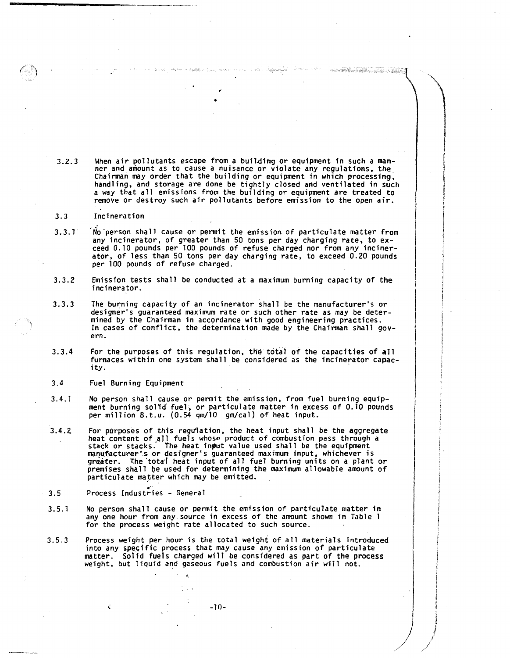$3.2.3$ When air pollutants escape from a building or equipment in such a manner and amount as to cause a nuisance or violate any regulations, the, Chairman may order that the building or equipment in which processing, hand1 ing, and storage are done be tightly closed and ventilated in such a way that all emissions from the building or equipment are treated to remove or destroy such air pollutants before emission to the open air.

 $\label{eq:10} \hat{J} = \hat{G}^{(1)}_{\mu\nu} + \hat{G}^{(2)}_{\mu\nu} + \hat{G}^{(3)}_{\mu\nu} + \hat{G}^{(4)}_{\mu\nu} + \hat{G}^{(5)}_{\mu\nu} + \hat{G}^{(6)}_{\mu\nu}$ 

(1986) Al Cambridge (1986) - Station (2006)

- $3.3$ Incineration
- .<br>No person shall cause or permit the emission of particulate matter from  $3.3.1$ any incinerator, of greater than 50 tons per day charging rate, to exceed 0.10 pounds per 100 pounds of refuse charged nor from any incinerator, of less than 50 tons per day charging rate, to exceed 0.20 pounds per 100 pounds of refuse charged.
- $3.3.2$ Emission tests shall be conducted at a maximum burning capacity of the incinerator.
- $3.3.3$ The burning capacity of an incinerator shall be the manufacturer's or designer's guaranteed maximwn rate or such other rate as may be determined by the Chairman in accordance with good engineering practices. In cases of conflict, the determination made by the Chairman shall govern.
- $3.3.4$ For the purposes of this regulation, the total of the capacities of all furnaces within one system shall be considered as the incinerator capacity.
- $3,4$ Fuel Burning Equipment
- $3.4.1$ No person shall cause or permit the emission, from fuel burning equipment burning solid fuel, or particulate matter in excess of 0.10 pounds per million 8.t.u. (0.54 qm/10 gm/cal) of heat input.
- $3.4.2$ For purposes of this regulation, the heat input shall be the aggregate heat content of .all fuels whose product of combustion pass through a stack or stacks. The heat input value used shall be the equipment maqufacturer's or designer's guaranteed maximum input, whichever is greater. The total heat input of all fuel burning units on a plant or premises shall be used for determining the maximum allowable amount of particulate matter which may be emitted.<br>Process Industries - General
- $3.5$ Process Industries - General

χř,

- No person shall cause or penit the emission of particulate matter in  $3.5.1$ any one hour from any source in excess of the amount shown in Table 1 for the process weight rate allocated to such source.
- $3.5.3$ Process weight per hour is the total weight of all materials introduced into any specific process that may cause any emission of particulate matter. Solid fuels charged will be considered as part of the process weight, but liquid and gaseous fuels and combustion air will not.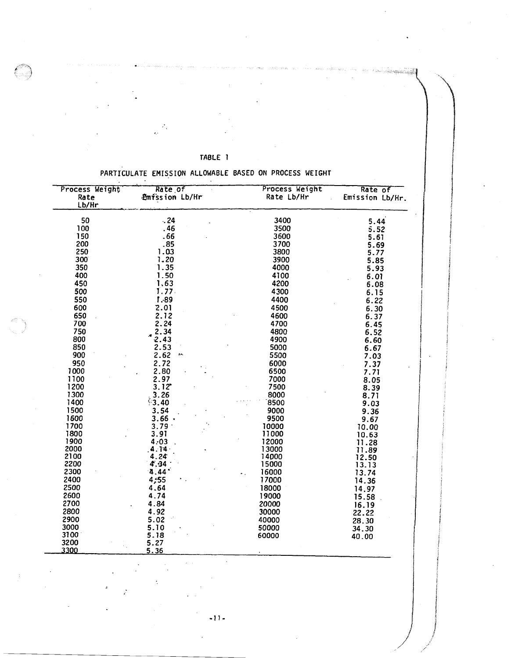PARTICULATE EMISSION ALLOWABLE BASED ON PROCESS WEIGHT

TABLE 1

| Process Weight<br>Rate<br>Lb/Hr | Rate of<br>Emission Lb/Hr | Process Weight<br>Rate Lb/Hr | Rate of<br>Emission Lb/Hr. |
|---------------------------------|---------------------------|------------------------------|----------------------------|
| 50                              | .24                       | 3400                         | 5.44                       |
| 100                             | . 46                      | 3500                         | 5.52                       |
| 150                             | .66                       | 3600                         | 5.61                       |
| 200                             | .85                       | 3700                         | 5.69                       |
| 250                             | 1.03                      | 3800                         | 5.77                       |
| 300                             | 1.20                      | 3900                         | 5.85                       |
| 350                             | 1.35                      | 4000                         |                            |
|                                 |                           |                              | 5.93                       |
| 400                             | 1.50                      | 4100                         | 6.01                       |
| 450                             | 1.63                      | 4200                         | 6.08                       |
| 500                             | 1.77.                     | 4300                         | 6.15                       |
| 550                             | 1.89                      | 4400                         | 6.22                       |
| 600                             | 2.01                      | 4500                         | 6.30                       |
| 650                             | 2.12                      | 4600                         | 6.37                       |
| 700                             | 2.24                      | 4700                         | 6.45                       |
| 750                             | 2.34                      | 4800                         | 6.52                       |
| 800                             | 2.43                      | 4900                         |                            |
| 850                             | 2.53                      | 5000                         | 6.60                       |
|                                 | $\mathbf{1}$ .            |                              | 6.67                       |
| 900                             | 2.62                      | 5500                         | 7.03                       |
| 950                             | 2.72                      | 6000                         | 7.37                       |
| 1000                            | 2.80                      | 6500                         | 7.71                       |
| 1100                            | 2.97                      | 7000                         | 8.05                       |
| 1200                            | $3.12^*$                  | 7500                         | 8.39                       |
| 1300                            | 3.26                      | 8000                         | 8.71                       |
| 1400                            | 3.40                      | 8500                         | 9.03                       |
| 1500                            | 3.54                      | 9000                         | 9.36                       |
| 1600                            | $3.66$ $\cdot$            | 9500                         | 9.67                       |
| 1700                            | 3.79                      | 10000                        | 10.00                      |
| 1800                            | 3.91                      | 11000                        | 10.63                      |
| 1900                            | 4:03                      | 12000                        | 11.28                      |
| 2000                            | 4.14.                     | 13000                        | 11.89                      |
| 2100                            | 4.24                      | 14000                        | 12.50                      |
| 2200                            | 4.34                      | 15000                        |                            |
| 2300                            | 4.44                      | 16000                        | 13.13                      |
|                                 |                           |                              | 13.74                      |
| 2400                            | 4,55                      | 17000                        | 14.36                      |
| 2500                            | 4.64                      | 18000                        | 14.97                      |
| 2600                            | 4.74                      | 19000                        | 15.58                      |
| 2700                            | 4.84                      | 20000                        | 16.19                      |
| 2800                            | 4.92                      | 30000                        | 22.22                      |
| 2900                            | 5.02                      | 40000                        | 28.30                      |
| 3000                            | 5.10                      | 50000                        | 34.30                      |
| 3100                            | 5.18                      | 60000                        | 40.00                      |
| 3200                            | 5.27                      |                              |                            |
| 3300                            | 536                       |                              |                            |

 $-11-$